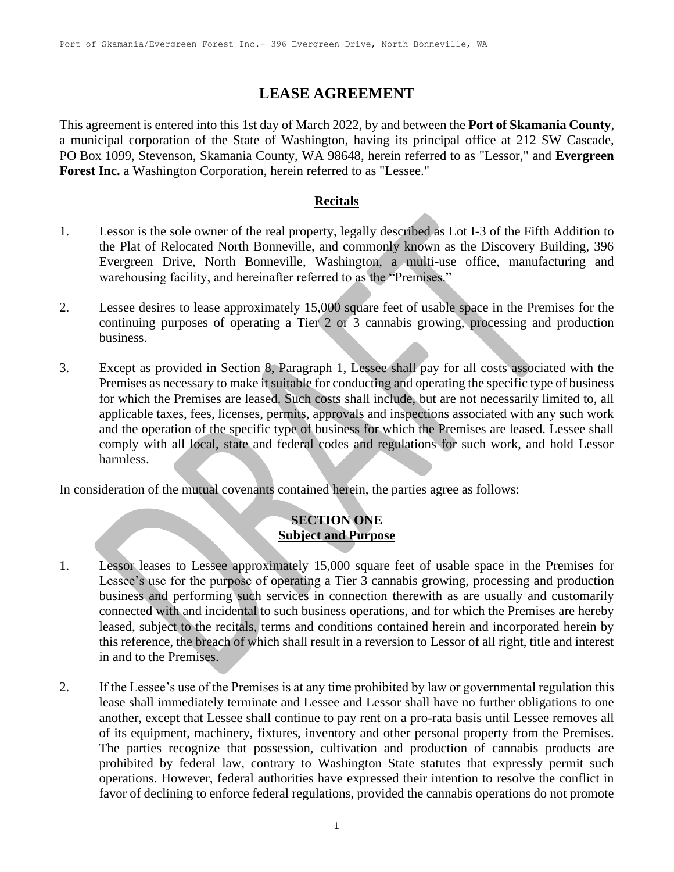# **LEASE AGREEMENT**

This agreement is entered into this 1st day of March 2022, by and between the **Port of Skamania County**, a municipal corporation of the State of Washington, having its principal office at 212 SW Cascade, PO Box 1099, Stevenson, Skamania County, WA 98648, herein referred to as "Lessor," and **Evergreen Forest Inc.** a Washington Corporation, herein referred to as "Lessee."

#### **Recitals**

- 1. Lessor is the sole owner of the real property, legally described as Lot I-3 of the Fifth Addition to the Plat of Relocated North Bonneville, and commonly known as the Discovery Building, 396 Evergreen Drive, North Bonneville, Washington, a multi-use office, manufacturing and warehousing facility, and hereinafter referred to as the "Premises."
- 2. Lessee desires to lease approximately 15,000 square feet of usable space in the Premises for the continuing purposes of operating a Tier 2 or 3 cannabis growing, processing and production business.
- 3. Except as provided in Section 8, Paragraph 1, Lessee shall pay for all costs associated with the Premises as necessary to make it suitable for conducting and operating the specific type of business for which the Premises are leased. Such costs shall include, but are not necessarily limited to, all applicable taxes, fees, licenses, permits, approvals and inspections associated with any such work and the operation of the specific type of business for which the Premises are leased. Lessee shall comply with all local, state and federal codes and regulations for such work, and hold Lessor harmless.

In consideration of the mutual covenants contained herein, the parties agree as follows:

# **SECTION ONE Subject and Purpose**

- 1. Lessor leases to Lessee approximately 15,000 square feet of usable space in the Premises for Lessee's use for the purpose of operating a Tier 3 cannabis growing, processing and production business and performing such services in connection therewith as are usually and customarily connected with and incidental to such business operations, and for which the Premises are hereby leased, subject to the recitals, terms and conditions contained herein and incorporated herein by this reference, the breach of which shall result in a reversion to Lessor of all right, title and interest in and to the Premises.
- 2. If the Lessee's use of the Premises is at any time prohibited by law or governmental regulation this lease shall immediately terminate and Lessee and Lessor shall have no further obligations to one another, except that Lessee shall continue to pay rent on a pro-rata basis until Lessee removes all of its equipment, machinery, fixtures, inventory and other personal property from the Premises. The parties recognize that possession, cultivation and production of cannabis products are prohibited by federal law, contrary to Washington State statutes that expressly permit such operations. However, federal authorities have expressed their intention to resolve the conflict in favor of declining to enforce federal regulations, provided the cannabis operations do not promote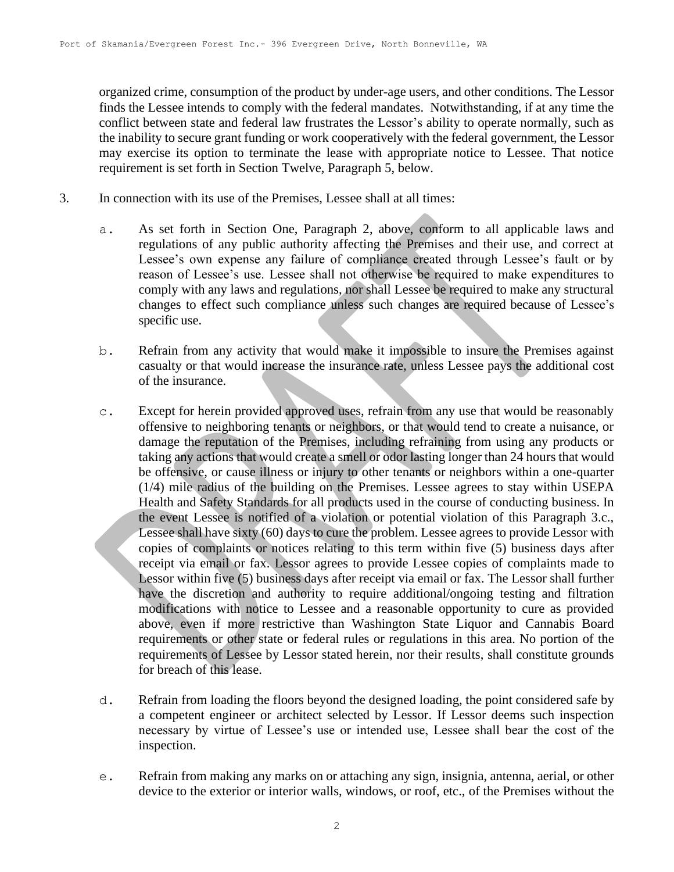organized crime, consumption of the product by under-age users, and other conditions. The Lessor finds the Lessee intends to comply with the federal mandates. Notwithstanding, if at any time the conflict between state and federal law frustrates the Lessor's ability to operate normally, such as the inability to secure grant funding or work cooperatively with the federal government, the Lessor may exercise its option to terminate the lease with appropriate notice to Lessee. That notice requirement is set forth in Section Twelve, Paragraph 5, below.

- 3. In connection with its use of the Premises, Lessee shall at all times:
	- a. As set forth in Section One, Paragraph 2, above, conform to all applicable laws and regulations of any public authority affecting the Premises and their use, and correct at Lessee's own expense any failure of compliance created through Lessee's fault or by reason of Lessee's use. Lessee shall not otherwise be required to make expenditures to comply with any laws and regulations, nor shall Lessee be required to make any structural changes to effect such compliance unless such changes are required because of Lessee's specific use.
	- b. Refrain from any activity that would make it impossible to insure the Premises against casualty or that would increase the insurance rate, unless Lessee pays the additional cost of the insurance.
	- c. Except for herein provided approved uses, refrain from any use that would be reasonably offensive to neighboring tenants or neighbors, or that would tend to create a nuisance, or damage the reputation of the Premises, including refraining from using any products or taking any actions that would create a smell or odor lasting longer than 24 hours that would be offensive, or cause illness or injury to other tenants or neighbors within a one-quarter (1/4) mile radius of the building on the Premises. Lessee agrees to stay within USEPA Health and Safety Standards for all products used in the course of conducting business. In the event Lessee is notified of a violation or potential violation of this Paragraph 3.c., Lessee shall have sixty (60) days to cure the problem. Lessee agrees to provide Lessor with copies of complaints or notices relating to this term within five (5) business days after receipt via email or fax. Lessor agrees to provide Lessee copies of complaints made to Lessor within five (5) business days after receipt via email or fax. The Lessor shall further have the discretion and authority to require additional/ongoing testing and filtration modifications with notice to Lessee and a reasonable opportunity to cure as provided above, even if more restrictive than Washington State Liquor and Cannabis Board requirements or other state or federal rules or regulations in this area. No portion of the requirements of Lessee by Lessor stated herein, nor their results, shall constitute grounds for breach of this lease.
	- d. Refrain from loading the floors beyond the designed loading, the point considered safe by a competent engineer or architect selected by Lessor. If Lessor deems such inspection necessary by virtue of Lessee's use or intended use, Lessee shall bear the cost of the inspection.
	- e. Refrain from making any marks on or attaching any sign, insignia, antenna, aerial, or other device to the exterior or interior walls, windows, or roof, etc., of the Premises without the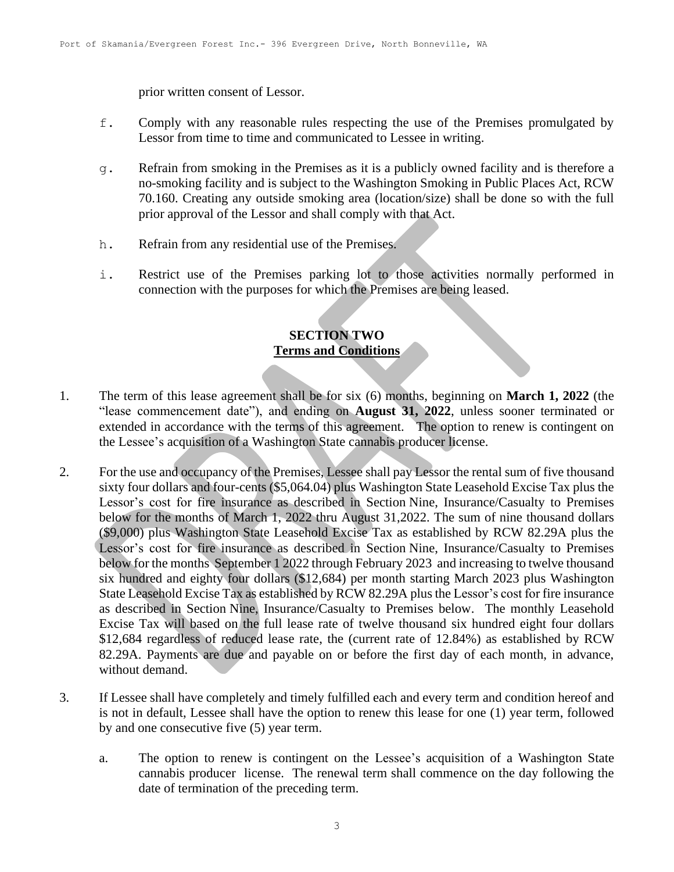prior written consent of Lessor.

- f. Comply with any reasonable rules respecting the use of the Premises promulgated by Lessor from time to time and communicated to Lessee in writing.
- g. Refrain from smoking in the Premises as it is a publicly owned facility and is therefore a no-smoking facility and is subject to the Washington Smoking in Public Places Act, RCW 70.160. Creating any outside smoking area (location/size) shall be done so with the full prior approval of the Lessor and shall comply with that Act.
- h. Refrain from any residential use of the Premises.
- i. Restrict use of the Premises parking lot to those activities normally performed in connection with the purposes for which the Premises are being leased.

### **SECTION TWO Terms and Conditions**

- 1. The term of this lease agreement shall be for six (6) months, beginning on **March 1, 2022** (the "lease commencement date"), and ending on **August 31, 2022**, unless sooner terminated or extended in accordance with the terms of this agreement. The option to renew is contingent on the Lessee's acquisition of a Washington State cannabis producer license.
- 2. For the use and occupancy of the Premises, Lessee shall pay Lessor the rental sum of five thousand sixty four dollars and four-cents (\$5,064.04) plus Washington State Leasehold Excise Tax plus the Lessor's cost for fire insurance as described in Section Nine, Insurance/Casualty to Premises below for the months of March 1, 2022 thru August 31,2022. The sum of nine thousand dollars (\$9,000) plus Washington State Leasehold Excise Tax as established by RCW 82.29A plus the Lessor's cost for fire insurance as described in Section Nine, Insurance/Casualty to Premises below for the months September 1 2022 through February 2023 and increasing to twelve thousand six hundred and eighty four dollars (\$12,684) per month starting March 2023 plus Washington State Leasehold Excise Tax as established by RCW 82.29A plus the Lessor's cost for fire insurance as described in Section Nine, Insurance/Casualty to Premises below. The monthly Leasehold Excise Tax will based on the full lease rate of twelve thousand six hundred eight four dollars \$12,684 regardless of reduced lease rate, the (current rate of 12.84%) as established by RCW 82.29A. Payments are due and payable on or before the first day of each month, in advance, without demand.
- 3. If Lessee shall have completely and timely fulfilled each and every term and condition hereof and is not in default, Lessee shall have the option to renew this lease for one (1) year term, followed by and one consecutive five (5) year term.
	- a. The option to renew is contingent on the Lessee's acquisition of a Washington State cannabis producer license. The renewal term shall commence on the day following the date of termination of the preceding term.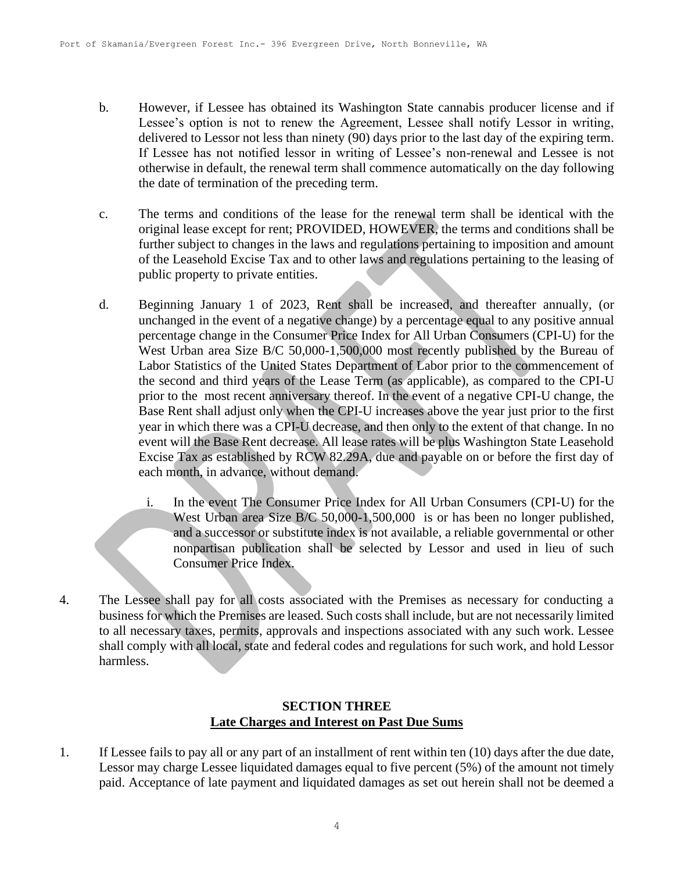- b. However, if Lessee has obtained its Washington State cannabis producer license and if Lessee's option is not to renew the Agreement, Lessee shall notify Lessor in writing, delivered to Lessor not less than ninety (90) days prior to the last day of the expiring term. If Lessee has not notified lessor in writing of Lessee's non-renewal and Lessee is not otherwise in default, the renewal term shall commence automatically on the day following the date of termination of the preceding term.
- c. The terms and conditions of the lease for the renewal term shall be identical with the original lease except for rent; PROVIDED, HOWEVER, the terms and conditions shall be further subject to changes in the laws and regulations pertaining to imposition and amount of the Leasehold Excise Tax and to other laws and regulations pertaining to the leasing of public property to private entities.
- d. Beginning January 1 of 2023, Rent shall be increased, and thereafter annually, (or unchanged in the event of a negative change) by a percentage equal to any positive annual percentage change in the Consumer Price Index for All Urban Consumers (CPI-U) for the West Urban area Size B/C 50,000-1,500,000 most recently published by the Bureau of Labor Statistics of the United States Department of Labor prior to the commencement of the second and third years of the Lease Term (as applicable), as compared to the CPI-U prior to the most recent anniversary thereof. In the event of a negative CPI-U change, the Base Rent shall adjust only when the CPI-U increases above the year just prior to the first year in which there was a CPI-U decrease, and then only to the extent of that change. In no event will the Base Rent decrease. All lease rates will be plus Washington State Leasehold Excise Tax as established by RCW 82.29A, due and payable on or before the first day of each month, in advance, without demand.
	- i. In the event The Consumer Price Index for All Urban Consumers (CPI-U) for the West Urban area Size B/C 50,000-1,500,000 is or has been no longer published, and a successor or substitute index is not available, a reliable governmental or other nonpartisan publication shall be selected by Lessor and used in lieu of such Consumer Price Index.
- 4. The Lessee shall pay for all costs associated with the Premises as necessary for conducting a business for which the Premises are leased. Such costs shall include, but are not necessarily limited to all necessary taxes, permits, approvals and inspections associated with any such work. Lessee shall comply with all local, state and federal codes and regulations for such work, and hold Lessor harmless.

## **SECTION THREE Late Charges and Interest on Past Due Sums**

1. If Lessee fails to pay all or any part of an installment of rent within ten (10) days after the due date, Lessor may charge Lessee liquidated damages equal to five percent (5%) of the amount not timely paid. Acceptance of late payment and liquidated damages as set out herein shall not be deemed a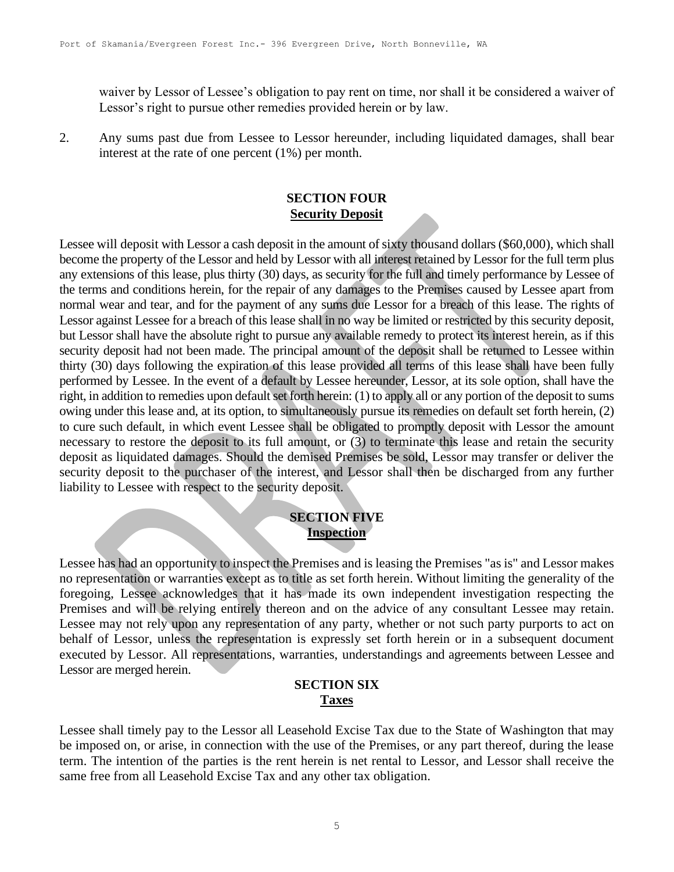waiver by Lessor of Lessee's obligation to pay rent on time, nor shall it be considered a waiver of Lessor's right to pursue other remedies provided herein or by law.

2. Any sums past due from Lessee to Lessor hereunder, including liquidated damages, shall bear interest at the rate of one percent (1%) per month.

## **SECTION FOUR Security Deposit**

Lessee will deposit with Lessor a cash deposit in the amount of sixty thousand dollars (\$60,000), which shall become the property of the Lessor and held by Lessor with all interest retained by Lessor for the full term plus any extensions of this lease, plus thirty (30) days, as security for the full and timely performance by Lessee of the terms and conditions herein, for the repair of any damages to the Premises caused by Lessee apart from normal wear and tear, and for the payment of any sums due Lessor for a breach of this lease. The rights of Lessor against Lessee for a breach of this lease shall in no way be limited or restricted by this security deposit, but Lessor shall have the absolute right to pursue any available remedy to protect its interest herein, as if this security deposit had not been made. The principal amount of the deposit shall be returned to Lessee within thirty (30) days following the expiration of this lease provided all terms of this lease shall have been fully performed by Lessee. In the event of a default by Lessee hereunder, Lessor, at its sole option, shall have the right, in addition to remedies upon default set forth herein: (1) to apply all or any portion of the deposit to sums owing under this lease and, at its option, to simultaneously pursue its remedies on default set forth herein, (2) to cure such default, in which event Lessee shall be obligated to promptly deposit with Lessor the amount necessary to restore the deposit to its full amount, or (3) to terminate this lease and retain the security deposit as liquidated damages. Should the demised Premises be sold, Lessor may transfer or deliver the security deposit to the purchaser of the interest, and Lessor shall then be discharged from any further liability to Lessee with respect to the security deposit.

### **SECTION FIVE Inspection**

Lessee has had an opportunity to inspect the Premises and is leasing the Premises "as is" and Lessor makes no representation or warranties except as to title as set forth herein. Without limiting the generality of the foregoing, Lessee acknowledges that it has made its own independent investigation respecting the Premises and will be relying entirely thereon and on the advice of any consultant Lessee may retain. Lessee may not rely upon any representation of any party, whether or not such party purports to act on behalf of Lessor, unless the representation is expressly set forth herein or in a subsequent document executed by Lessor. All representations, warranties, understandings and agreements between Lessee and Lessor are merged herein.

### **SECTION SIX Taxes**

Lessee shall timely pay to the Lessor all Leasehold Excise Tax due to the State of Washington that may be imposed on, or arise, in connection with the use of the Premises, or any part thereof, during the lease term. The intention of the parties is the rent herein is net rental to Lessor, and Lessor shall receive the same free from all Leasehold Excise Tax and any other tax obligation.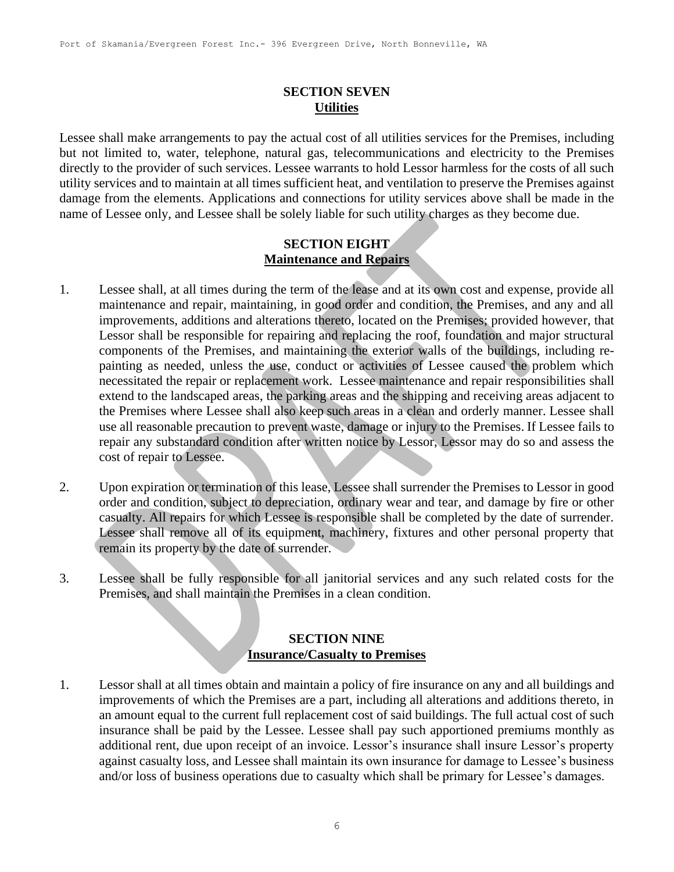## **SECTION SEVEN Utilities**

Lessee shall make arrangements to pay the actual cost of all utilities services for the Premises, including but not limited to, water, telephone, natural gas, telecommunications and electricity to the Premises directly to the provider of such services. Lessee warrants to hold Lessor harmless for the costs of all such utility services and to maintain at all times sufficient heat, and ventilation to preserve the Premises against damage from the elements. Applications and connections for utility services above shall be made in the name of Lessee only, and Lessee shall be solely liable for such utility charges as they become due.

#### **SECTION EIGHT Maintenance and Repairs**

- 1. Lessee shall, at all times during the term of the lease and at its own cost and expense, provide all maintenance and repair, maintaining, in good order and condition, the Premises, and any and all improvements, additions and alterations thereto, located on the Premises; provided however, that Lessor shall be responsible for repairing and replacing the roof, foundation and major structural components of the Premises, and maintaining the exterior walls of the buildings, including repainting as needed, unless the use, conduct or activities of Lessee caused the problem which necessitated the repair or replacement work. Lessee maintenance and repair responsibilities shall extend to the landscaped areas, the parking areas and the shipping and receiving areas adjacent to the Premises where Lessee shall also keep such areas in a clean and orderly manner. Lessee shall use all reasonable precaution to prevent waste, damage or injury to the Premises. If Lessee fails to repair any substandard condition after written notice by Lessor, Lessor may do so and assess the cost of repair to Lessee.
- 2. Upon expiration or termination of this lease, Lessee shall surrender the Premises to Lessor in good order and condition, subject to depreciation, ordinary wear and tear, and damage by fire or other casualty. All repairs for which Lessee is responsible shall be completed by the date of surrender. Lessee shall remove all of its equipment, machinery, fixtures and other personal property that remain its property by the date of surrender.
- 3. Lessee shall be fully responsible for all janitorial services and any such related costs for the Premises, and shall maintain the Premises in a clean condition.

# **SECTION NINE Insurance/Casualty to Premises**

1. Lessor shall at all times obtain and maintain a policy of fire insurance on any and all buildings and improvements of which the Premises are a part, including all alterations and additions thereto, in an amount equal to the current full replacement cost of said buildings. The full actual cost of such insurance shall be paid by the Lessee. Lessee shall pay such apportioned premiums monthly as additional rent, due upon receipt of an invoice. Lessor's insurance shall insure Lessor's property against casualty loss, and Lessee shall maintain its own insurance for damage to Lessee's business and/or loss of business operations due to casualty which shall be primary for Lessee's damages.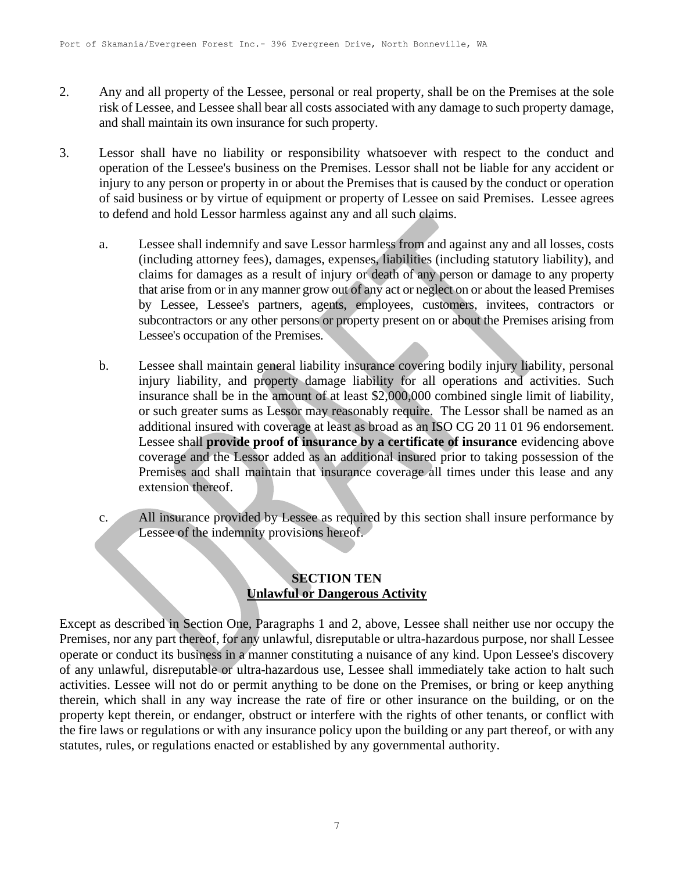- 2. Any and all property of the Lessee, personal or real property, shall be on the Premises at the sole risk of Lessee, and Lessee shall bear all costs associated with any damage to such property damage, and shall maintain its own insurance for such property.
- 3. Lessor shall have no liability or responsibility whatsoever with respect to the conduct and operation of the Lessee's business on the Premises. Lessor shall not be liable for any accident or injury to any person or property in or about the Premises that is caused by the conduct or operation of said business or by virtue of equipment or property of Lessee on said Premises. Lessee agrees to defend and hold Lessor harmless against any and all such claims.
	- a. Lessee shall indemnify and save Lessor harmless from and against any and all losses, costs (including attorney fees), damages, expenses, liabilities (including statutory liability), and claims for damages as a result of injury or death of any person or damage to any property that arise from or in any manner grow out of any act or neglect on or about the leased Premises by Lessee, Lessee's partners, agents, employees, customers, invitees, contractors or subcontractors or any other persons or property present on or about the Premises arising from Lessee's occupation of the Premises.
	- b. Lessee shall maintain general liability insurance covering bodily injury liability, personal injury liability, and property damage liability for all operations and activities. Such insurance shall be in the amount of at least \$2,000,000 combined single limit of liability, or such greater sums as Lessor may reasonably require. The Lessor shall be named as an additional insured with coverage at least as broad as an ISO CG 20 11 01 96 endorsement. Lessee shall **provide proof of insurance by a certificate of insurance** evidencing above coverage and the Lessor added as an additional insured prior to taking possession of the Premises and shall maintain that insurance coverage all times under this lease and any extension thereof.
	- c. All insurance provided by Lessee as required by this section shall insure performance by Lessee of the indemnity provisions hereof.

# **SECTION TEN Unlawful or Dangerous Activity**

Except as described in Section One, Paragraphs 1 and 2, above, Lessee shall neither use nor occupy the Premises, nor any part thereof, for any unlawful, disreputable or ultra-hazardous purpose, nor shall Lessee operate or conduct its business in a manner constituting a nuisance of any kind. Upon Lessee's discovery of any unlawful, disreputable or ultra-hazardous use, Lessee shall immediately take action to halt such activities. Lessee will not do or permit anything to be done on the Premises, or bring or keep anything therein, which shall in any way increase the rate of fire or other insurance on the building, or on the property kept therein, or endanger, obstruct or interfere with the rights of other tenants, or conflict with the fire laws or regulations or with any insurance policy upon the building or any part thereof, or with any statutes, rules, or regulations enacted or established by any governmental authority.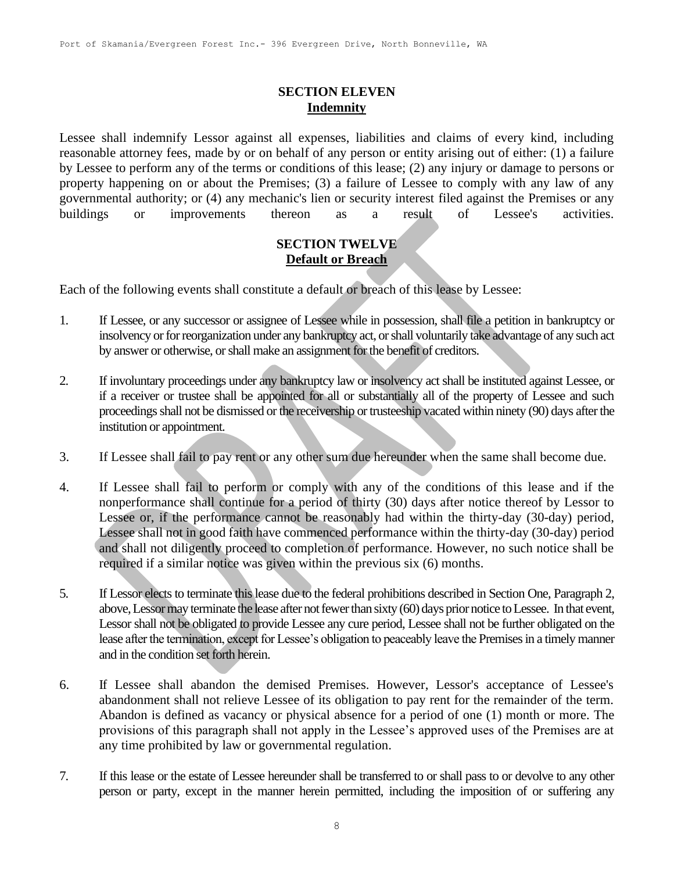## **SECTION ELEVEN Indemnity**

Lessee shall indemnify Lessor against all expenses, liabilities and claims of every kind, including reasonable attorney fees, made by or on behalf of any person or entity arising out of either: (1) a failure by Lessee to perform any of the terms or conditions of this lease; (2) any injury or damage to persons or property happening on or about the Premises; (3) a failure of Lessee to comply with any law of any governmental authority; or (4) any mechanic's lien or security interest filed against the Premises or any buildings or improvements thereon as a result of Lessee's activities.

### **SECTION TWELVE Default or Breach**

Each of the following events shall constitute a default or breach of this lease by Lessee:

- 1. If Lessee, or any successor or assignee of Lessee while in possession, shall file a petition in bankruptcy or insolvency or for reorganization under any bankruptcy act, or shall voluntarily take advantage of any such act by answer or otherwise, or shall make an assignment for the benefit of creditors.
- 2. If involuntary proceedings under any bankruptcy law or insolvency act shall be instituted against Lessee, or if a receiver or trustee shall be appointed for all or substantially all of the property of Lessee and such proceedings shall not be dismissed or the receivership or trusteeship vacated within ninety (90) days after the institution or appointment.
- 3. If Lessee shall fail to pay rent or any other sum due hereunder when the same shall become due.
- 4. If Lessee shall fail to perform or comply with any of the conditions of this lease and if the nonperformance shall continue for a period of thirty (30) days after notice thereof by Lessor to Lessee or, if the performance cannot be reasonably had within the thirty-day (30-day) period, Lessee shall not in good faith have commenced performance within the thirty-day (30-day) period and shall not diligently proceed to completion of performance. However, no such notice shall be required if a similar notice was given within the previous six (6) months.
- 5. If Lessor elects to terminate this lease due to the federal prohibitions described in Section One, Paragraph 2, above, Lessor may terminate the lease after not fewer than sixty (60) days prior notice to Lessee. In that event, Lessor shall not be obligated to provide Lessee any cure period, Lessee shall not be further obligated on the lease after the termination, except for Lessee's obligation to peaceably leave the Premises in a timely manner and in the condition set forth herein.
- 6. If Lessee shall abandon the demised Premises. However, Lessor's acceptance of Lessee's abandonment shall not relieve Lessee of its obligation to pay rent for the remainder of the term. Abandon is defined as vacancy or physical absence for a period of one (1) month or more. The provisions of this paragraph shall not apply in the Lessee's approved uses of the Premises are at any time prohibited by law or governmental regulation.
- 7. If this lease or the estate of Lessee hereunder shall be transferred to or shall pass to or devolve to any other person or party, except in the manner herein permitted, including the imposition of or suffering any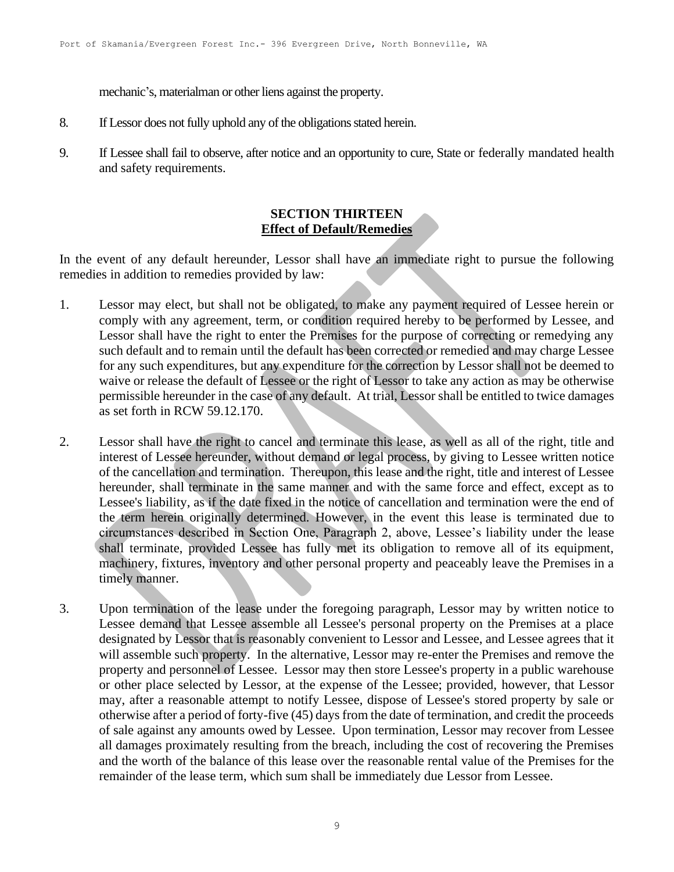mechanic's, materialman or other liens against the property.

- 8. If Lessor does not fully uphold any of the obligations stated herein.
- 9. If Lessee shall fail to observe, after notice and an opportunity to cure, State or federally mandated health and safety requirements.

## **SECTION THIRTEEN Effect of Default/Remedies**

In the event of any default hereunder, Lessor shall have an immediate right to pursue the following remedies in addition to remedies provided by law:

- 1. Lessor may elect, but shall not be obligated, to make any payment required of Lessee herein or comply with any agreement, term, or condition required hereby to be performed by Lessee, and Lessor shall have the right to enter the Premises for the purpose of correcting or remedying any such default and to remain until the default has been corrected or remedied and may charge Lessee for any such expenditures, but any expenditure for the correction by Lessor shall not be deemed to waive or release the default of Lessee or the right of Lessor to take any action as may be otherwise permissible hereunder in the case of any default. At trial, Lessor shall be entitled to twice damages as set forth in RCW 59.12.170.
- 2. Lessor shall have the right to cancel and terminate this lease, as well as all of the right, title and interest of Lessee hereunder, without demand or legal process, by giving to Lessee written notice of the cancellation and termination. Thereupon, this lease and the right, title and interest of Lessee hereunder, shall terminate in the same manner and with the same force and effect, except as to Lessee's liability, as if the date fixed in the notice of cancellation and termination were the end of the term herein originally determined. However, in the event this lease is terminated due to circumstances described in Section One, Paragraph 2, above, Lessee's liability under the lease shall terminate, provided Lessee has fully met its obligation to remove all of its equipment, machinery, fixtures, inventory and other personal property and peaceably leave the Premises in a timely manner.
- 3. Upon termination of the lease under the foregoing paragraph, Lessor may by written notice to Lessee demand that Lessee assemble all Lessee's personal property on the Premises at a place designated by Lessor that is reasonably convenient to Lessor and Lessee, and Lessee agrees that it will assemble such property. In the alternative, Lessor may re-enter the Premises and remove the property and personnel of Lessee. Lessor may then store Lessee's property in a public warehouse or other place selected by Lessor, at the expense of the Lessee; provided, however, that Lessor may, after a reasonable attempt to notify Lessee, dispose of Lessee's stored property by sale or otherwise after a period of forty-five (45) days from the date of termination, and credit the proceeds of sale against any amounts owed by Lessee. Upon termination, Lessor may recover from Lessee all damages proximately resulting from the breach, including the cost of recovering the Premises and the worth of the balance of this lease over the reasonable rental value of the Premises for the remainder of the lease term, which sum shall be immediately due Lessor from Lessee.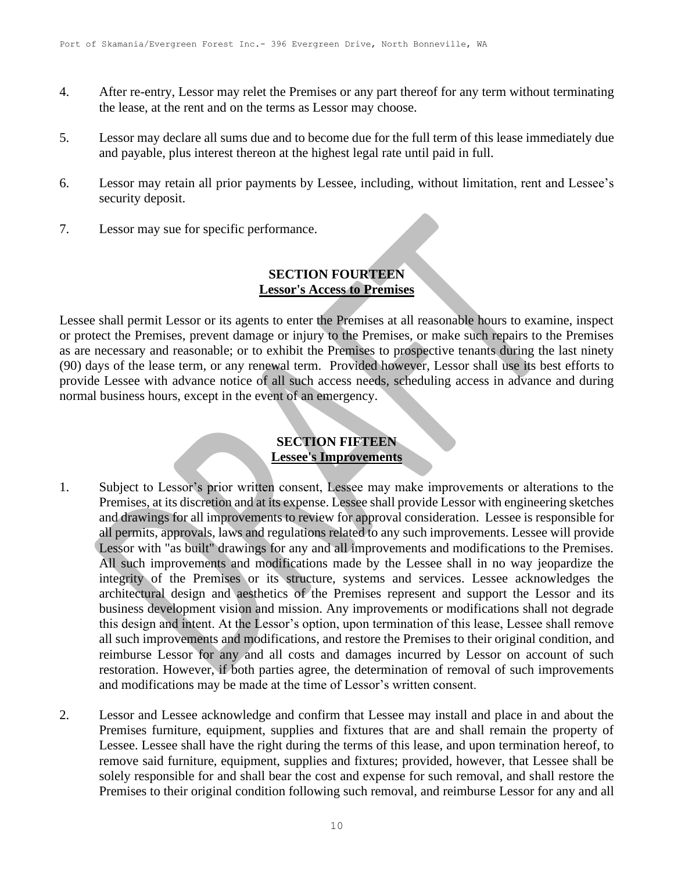- 4. After re-entry, Lessor may relet the Premises or any part thereof for any term without terminating the lease, at the rent and on the terms as Lessor may choose.
- 5. Lessor may declare all sums due and to become due for the full term of this lease immediately due and payable, plus interest thereon at the highest legal rate until paid in full.
- 6. Lessor may retain all prior payments by Lessee, including, without limitation, rent and Lessee's security deposit.
- 7. Lessor may sue for specific performance.

## **SECTION FOURTEEN Lessor's Access to Premises**

Lessee shall permit Lessor or its agents to enter the Premises at all reasonable hours to examine, inspect or protect the Premises, prevent damage or injury to the Premises, or make such repairs to the Premises as are necessary and reasonable; or to exhibit the Premises to prospective tenants during the last ninety (90) days of the lease term, or any renewal term. Provided however, Lessor shall use its best efforts to provide Lessee with advance notice of all such access needs, scheduling access in advance and during normal business hours, except in the event of an emergency.

## **SECTION FIFTEEN Lessee's Improvements**

- 1. Subject to Lessor's prior written consent, Lessee may make improvements or alterations to the Premises, at its discretion and at its expense. Lessee shall provide Lessor with engineering sketches and drawings for all improvements to review for approval consideration. Lessee is responsible for all permits, approvals, laws and regulations related to any such improvements. Lessee will provide Lessor with "as built" drawings for any and all improvements and modifications to the Premises. All such improvements and modifications made by the Lessee shall in no way jeopardize the integrity of the Premises or its structure, systems and services. Lessee acknowledges the architectural design and aesthetics of the Premises represent and support the Lessor and its business development vision and mission. Any improvements or modifications shall not degrade this design and intent. At the Lessor's option, upon termination of this lease, Lessee shall remove all such improvements and modifications, and restore the Premises to their original condition, and reimburse Lessor for any and all costs and damages incurred by Lessor on account of such restoration. However, if both parties agree, the determination of removal of such improvements and modifications may be made at the time of Lessor's written consent.
- 2. Lessor and Lessee acknowledge and confirm that Lessee may install and place in and about the Premises furniture, equipment, supplies and fixtures that are and shall remain the property of Lessee. Lessee shall have the right during the terms of this lease, and upon termination hereof, to remove said furniture, equipment, supplies and fixtures; provided, however, that Lessee shall be solely responsible for and shall bear the cost and expense for such removal, and shall restore the Premises to their original condition following such removal, and reimburse Lessor for any and all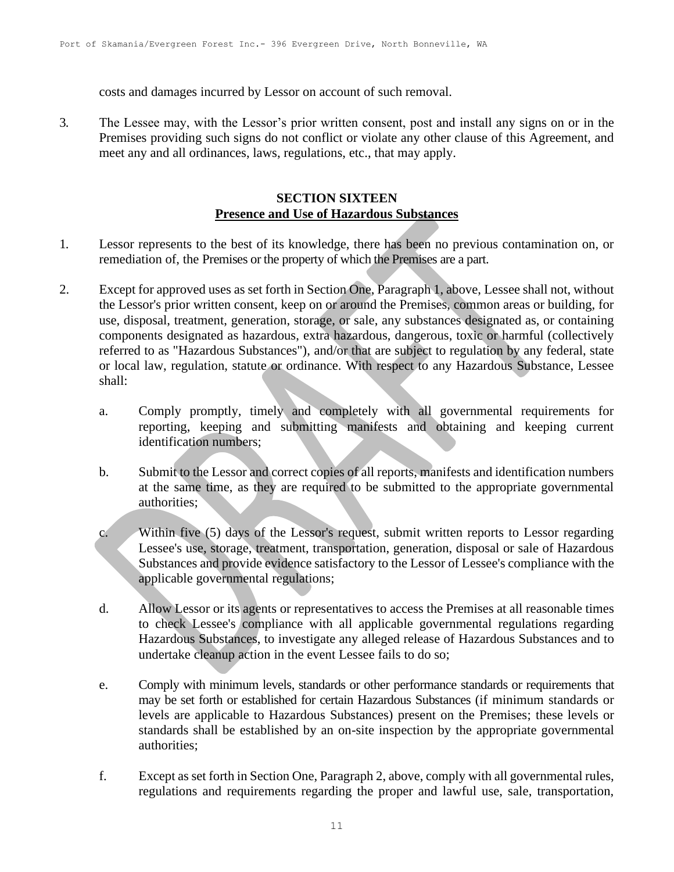costs and damages incurred by Lessor on account of such removal.

3. The Lessee may, with the Lessor's prior written consent, post and install any signs on or in the Premises providing such signs do not conflict or violate any other clause of this Agreement, and meet any and all ordinances, laws, regulations, etc., that may apply.

### **SECTION SIXTEEN Presence and Use of Hazardous Substances**

- 1. Lessor represents to the best of its knowledge, there has been no previous contamination on, or remediation of, the Premises or the property of which the Premises are a part.
- 2. Except for approved uses as set forth in Section One, Paragraph 1, above, Lessee shall not, without the Lessor's prior written consent, keep on or around the Premises, common areas or building, for use, disposal, treatment, generation, storage, or sale, any substances designated as, or containing components designated as hazardous, extra hazardous, dangerous, toxic or harmful (collectively referred to as "Hazardous Substances"), and/or that are subject to regulation by any federal, state or local law, regulation, statute or ordinance. With respect to any Hazardous Substance, Lessee shall:
	- a. Comply promptly, timely and completely with all governmental requirements for reporting, keeping and submitting manifests and obtaining and keeping current identification numbers;
	- b. Submit to the Lessor and correct copies of all reports, manifests and identification numbers at the same time, as they are required to be submitted to the appropriate governmental authorities;
	- c. Within five (5) days of the Lessor's request, submit written reports to Lessor regarding Lessee's use, storage, treatment, transportation, generation, disposal or sale of Hazardous Substances and provide evidence satisfactory to the Lessor of Lessee's compliance with the applicable governmental regulations;
	- d. Allow Lessor or its agents or representatives to access the Premises at all reasonable times to check Lessee's compliance with all applicable governmental regulations regarding Hazardous Substances, to investigate any alleged release of Hazardous Substances and to undertake cleanup action in the event Lessee fails to do so;
	- e. Comply with minimum levels, standards or other performance standards or requirements that may be set forth or established for certain Hazardous Substances (if minimum standards or levels are applicable to Hazardous Substances) present on the Premises; these levels or standards shall be established by an on-site inspection by the appropriate governmental authorities;
	- f. Except as set forth in Section One, Paragraph 2, above, comply with all governmental rules, regulations and requirements regarding the proper and lawful use, sale, transportation,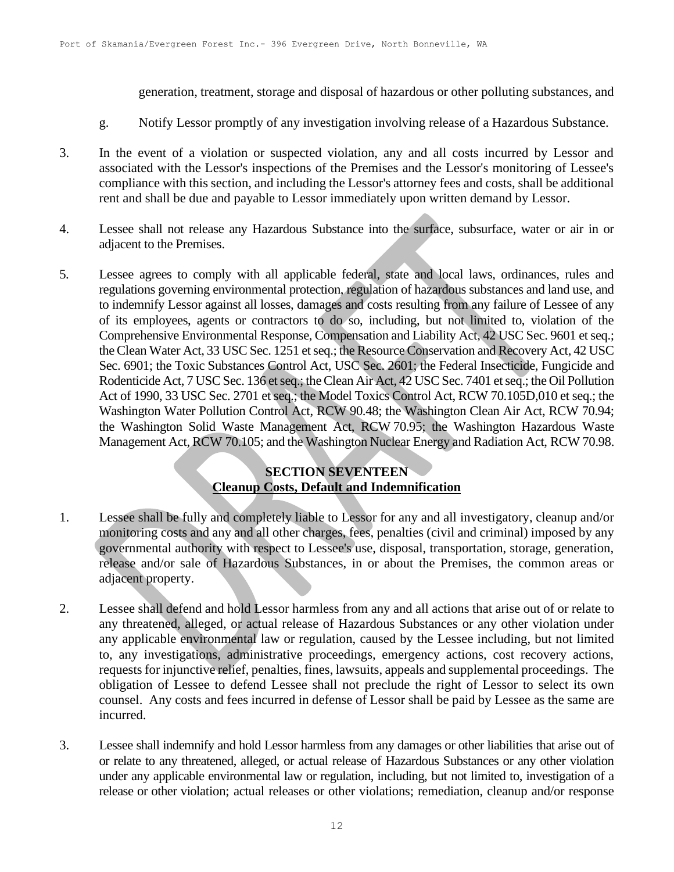generation, treatment, storage and disposal of hazardous or other polluting substances, and

- g. Notify Lessor promptly of any investigation involving release of a Hazardous Substance.
- 3. In the event of a violation or suspected violation, any and all costs incurred by Lessor and associated with the Lessor's inspections of the Premises and the Lessor's monitoring of Lessee's compliance with this section, and including the Lessor's attorney fees and costs, shall be additional rent and shall be due and payable to Lessor immediately upon written demand by Lessor.
- 4. Lessee shall not release any Hazardous Substance into the surface, subsurface, water or air in or adjacent to the Premises.
- 5. Lessee agrees to comply with all applicable federal, state and local laws, ordinances, rules and regulations governing environmental protection, regulation of hazardous substances and land use, and to indemnify Lessor against all losses, damages and costs resulting from any failure of Lessee of any of its employees, agents or contractors to do so, including, but not limited to, violation of the Comprehensive Environmental Response, Compensation and Liability Act, 42 USC Sec. 9601 et seq.; the Clean Water Act, 33 USC Sec. 1251 et seq.; the Resource Conservation and Recovery Act, 42 USC Sec. 6901; the Toxic Substances Control Act, USC Sec. 2601; the Federal Insecticide, Fungicide and Rodenticide Act, 7 USC Sec. 136 et seq.; the Clean Air Act, 42 USC Sec. 7401 et seq.; the Oil Pollution Act of 1990, 33 USC Sec. 2701 et seq.; the Model Toxics Control Act, RCW 70.105D,010 et seq.; the Washington Water Pollution Control Act, RCW 90.48; the Washington Clean Air Act, RCW 70.94; the Washington Solid Waste Management Act, RCW 70.95; the Washington Hazardous Waste Management Act, RCW 70.105; and the Washington Nuclear Energy and Radiation Act, RCW 70.98.

# **SECTION SEVENTEEN Cleanup Costs, Default and Indemnification**

- 1. Lessee shall be fully and completely liable to Lessor for any and all investigatory, cleanup and/or monitoring costs and any and all other charges, fees, penalties (civil and criminal) imposed by any governmental authority with respect to Lessee's use, disposal, transportation, storage, generation, release and/or sale of Hazardous Substances, in or about the Premises, the common areas or adjacent property.
- 2. Lessee shall defend and hold Lessor harmless from any and all actions that arise out of or relate to any threatened, alleged, or actual release of Hazardous Substances or any other violation under any applicable environmental law or regulation, caused by the Lessee including, but not limited to, any investigations, administrative proceedings, emergency actions, cost recovery actions, requests for injunctive relief, penalties, fines, lawsuits, appeals and supplemental proceedings. The obligation of Lessee to defend Lessee shall not preclude the right of Lessor to select its own counsel. Any costs and fees incurred in defense of Lessor shall be paid by Lessee as the same are incurred.
- 3. Lessee shall indemnify and hold Lessor harmless from any damages or other liabilities that arise out of or relate to any threatened, alleged, or actual release of Hazardous Substances or any other violation under any applicable environmental law or regulation, including, but not limited to, investigation of a release or other violation; actual releases or other violations; remediation, cleanup and/or response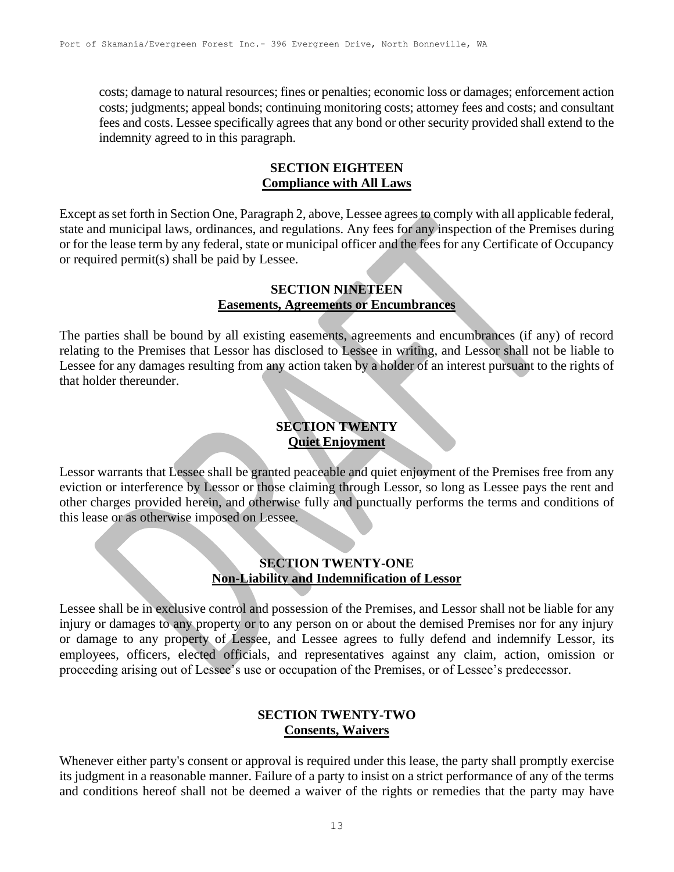costs; damage to natural resources; fines or penalties; economic loss or damages; enforcement action costs; judgments; appeal bonds; continuing monitoring costs; attorney fees and costs; and consultant fees and costs. Lessee specifically agrees that any bond or other security provided shall extend to the indemnity agreed to in this paragraph.

#### **SECTION EIGHTEEN Compliance with All Laws**

Except as set forth in Section One, Paragraph 2, above, Lessee agrees to comply with all applicable federal, state and municipal laws, ordinances, and regulations. Any fees for any inspection of the Premises during or for the lease term by any federal, state or municipal officer and the fees for any Certificate of Occupancy or required permit(s) shall be paid by Lessee.

#### **SECTION NINETEEN Easements, Agreements or Encumbrances**

The parties shall be bound by all existing easements, agreements and encumbrances (if any) of record relating to the Premises that Lessor has disclosed to Lessee in writing, and Lessor shall not be liable to Lessee for any damages resulting from any action taken by a holder of an interest pursuant to the rights of that holder thereunder.

# **SECTION TWENTY Quiet Enjoyment**

Lessor warrants that Lessee shall be granted peaceable and quiet enjoyment of the Premises free from any eviction or interference by Lessor or those claiming through Lessor, so long as Lessee pays the rent and other charges provided herein, and otherwise fully and punctually performs the terms and conditions of this lease or as otherwise imposed on Lessee.

## **SECTION TWENTY-ONE Non-Liability and Indemnification of Lessor**

Lessee shall be in exclusive control and possession of the Premises, and Lessor shall not be liable for any injury or damages to any property or to any person on or about the demised Premises nor for any injury or damage to any property of Lessee, and Lessee agrees to fully defend and indemnify Lessor, its employees, officers, elected officials, and representatives against any claim, action, omission or proceeding arising out of Lessee's use or occupation of the Premises, or of Lessee's predecessor.

## **SECTION TWENTY-TWO Consents, Waivers**

Whenever either party's consent or approval is required under this lease, the party shall promptly exercise its judgment in a reasonable manner. Failure of a party to insist on a strict performance of any of the terms and conditions hereof shall not be deemed a waiver of the rights or remedies that the party may have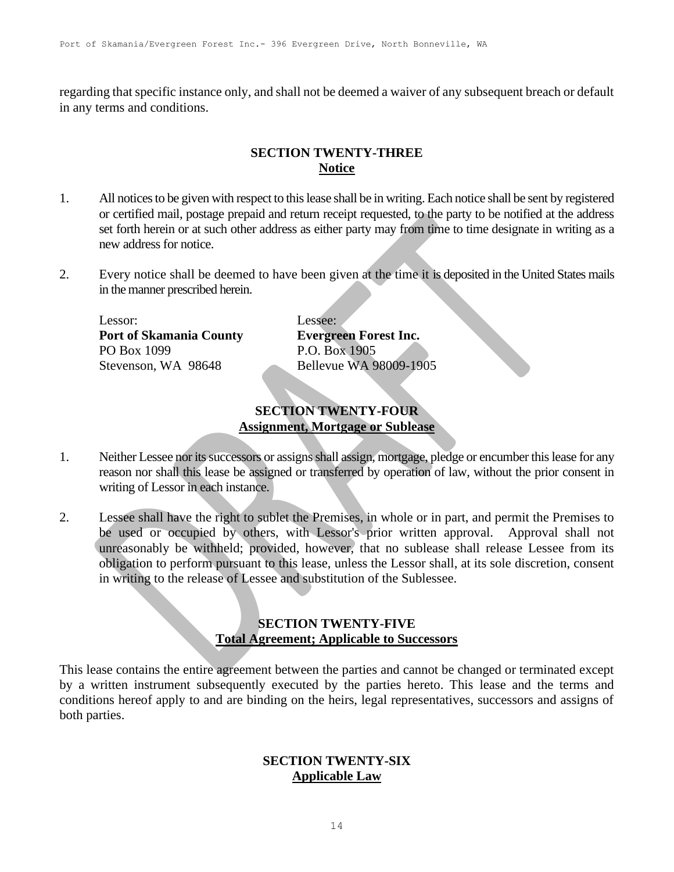regarding that specific instance only, and shall not be deemed a waiver of any subsequent breach or default in any terms and conditions.

## **SECTION TWENTY-THREE Notice**

- 1. All notices to be given with respect to this lease shall be in writing. Each notice shall be sent by registered or certified mail, postage prepaid and return receipt requested, to the party to be notified at the address set forth herein or at such other address as either party may from time to time designate in writing as a new address for notice.
- 2. Every notice shall be deemed to have been given at the time it is deposited in the United States mails in the manner prescribed herein.

| Lessor:                        | Lessee:                      |
|--------------------------------|------------------------------|
| <b>Port of Skamania County</b> | <b>Evergreen Forest Inc.</b> |
| PO Box 1099                    | P.O. Box 1905                |
| Stevenson, WA 98648            | Bellevue WA 98009-1905       |

# **SECTION TWENTY-FOUR Assignment, Mortgage or Sublease**

- 1. Neither Lessee nor its successors or assigns shall assign, mortgage, pledge or encumber this lease for any reason nor shall this lease be assigned or transferred by operation of law, without the prior consent in writing of Lessor in each instance.
- 2. Lessee shall have the right to sublet the Premises, in whole or in part, and permit the Premises to be used or occupied by others, with Lessor's prior written approval. Approval shall not unreasonably be withheld; provided, however, that no sublease shall release Lessee from its obligation to perform pursuant to this lease, unless the Lessor shall, at its sole discretion, consent in writing to the release of Lessee and substitution of the Sublessee.

### **SECTION TWENTY-FIVE Total Agreement; Applicable to Successors**

This lease contains the entire agreement between the parties and cannot be changed or terminated except by a written instrument subsequently executed by the parties hereto. This lease and the terms and conditions hereof apply to and are binding on the heirs, legal representatives, successors and assigns of both parties.

### **SECTION TWENTY-SIX Applicable Law**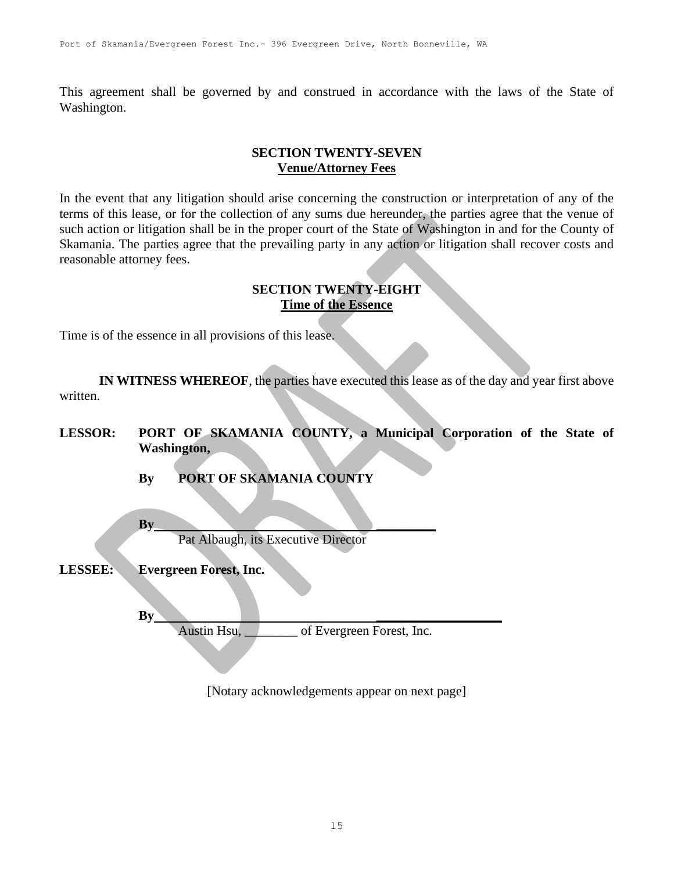This agreement shall be governed by and construed in accordance with the laws of the State of Washington.

## **SECTION TWENTY-SEVEN Venue/Attorney Fees**

In the event that any litigation should arise concerning the construction or interpretation of any of the terms of this lease, or for the collection of any sums due hereunder, the parties agree that the venue of such action or litigation shall be in the proper court of the State of Washington in and for the County of Skamania. The parties agree that the prevailing party in any action or litigation shall recover costs and reasonable attorney fees.

#### **SECTION TWENTY-EIGHT Time of the Essence**

Time is of the essence in all provisions of this lease.

**IN WITNESS WHEREOF**, the parties have executed this lease as of the day and year first above written.

- **LESSOR: PORT OF SKAMANIA COUNTY, a Municipal Corporation of the State of Washington,**
	- **By PORT OF SKAMANIA COUNTY**
	- **By \_\_\_\_\_\_\_\_\_** Pat Albaugh, its Executive Director
- **LESSEE: Evergreen Forest, Inc.**

**By \_\_\_\_\_\_\_\_\_\_\_\_\_\_\_\_\_\_\_**

Austin Hsu, of Evergreen Forest, Inc.

[Notary acknowledgements appear on next page]